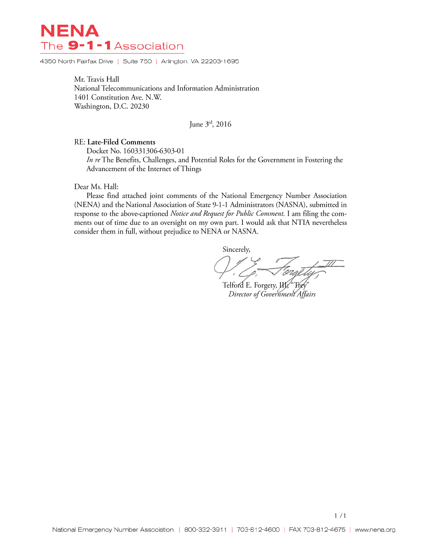# NENA The 9-1-1Association

4350 North Fairfax Drive | Suite 750 | Arlington, VA 22203-1695

Mr. Travis Hall National Telecommunications and Information Administration 1401 Constitution Ave. N.W. Washington, D.C. 20230

June 3rd, 2016

### RE: Late-Filed Comments

Docket No. 160331306-6303-01 In re The Benefits, Challenges, and Potential Roles for the Government in Fostering the Advancement of the Internet of Things

#### Dear Ms. Hall:

Please find attached joint comments of the National Emergency Number Association (NENA) and the National Association of State 9-1-1 Administrators (NASNA), submitted in response to the above-captioned Notice and Request for Public Comment. I am filing the comments out of time due to an oversight on my own part. I would ask that NTIA nevertheless consider them in full, without prejudice to NENA or NASNA.

Sincerely,

Telford E. Forgety, *W.* Trey Director of Government Affairs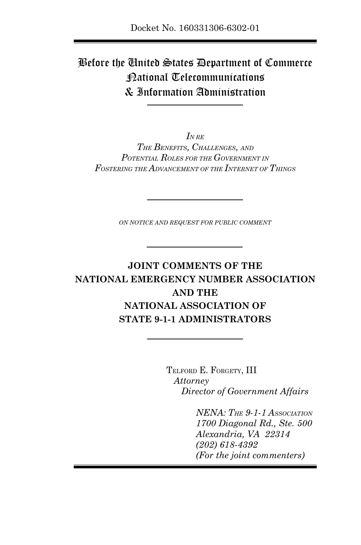# Before the United States Department of Commerce National Telecommunications & Information Administration

*IN RE THE BENEFITS, CHALLENGES, AND POTENTIAL ROLES FOR THE GOVERNMENT IN FOSTERING THE ADVANCEMENT OF THE INTERNET OF THINGS*

*ON NOTICE AND REQUEST FOR PUBLIC COMMENT*

### **JOINT COMMENTS OF THE NATIONAL EMERGENCY NUMBER ASSOCIATION AND THE NATIONAL ASSOCIATION OF STATE 9-1-1 ADMINISTRATORS**

TELFORD E. FORGETY, III *Attorney Director of Government Affairs*

> *NENA: THE 9-1-1 ASSOCIATION 1700 Diagonal Rd., Ste. 500 Alexandria, VA 22314 (202) 618-4392 (For the joint commenters)*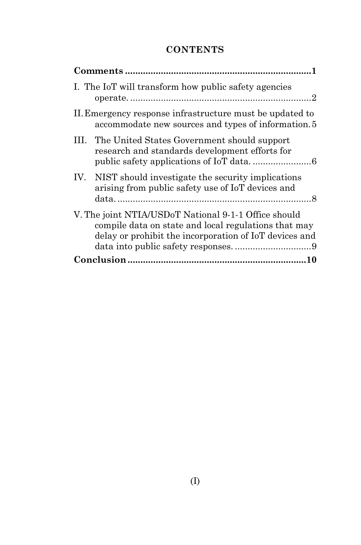### **CONTENTS**

| I. The IoT will transform how public safety agencies                                                                                                                   |
|------------------------------------------------------------------------------------------------------------------------------------------------------------------------|
| II. Emergency response infrastructure must be updated to<br>accommodate new sources and types of information. 5                                                        |
| III. The United States Government should support<br>research and standards development efforts for                                                                     |
| IV. NIST should investigate the security implications<br>arising from public safety use of IoT devices and                                                             |
| V. The joint NTIA/USDoT National 9-1-1 Office should<br>compile data on state and local regulations that may<br>delay or prohibit the incorporation of IoT devices and |
|                                                                                                                                                                        |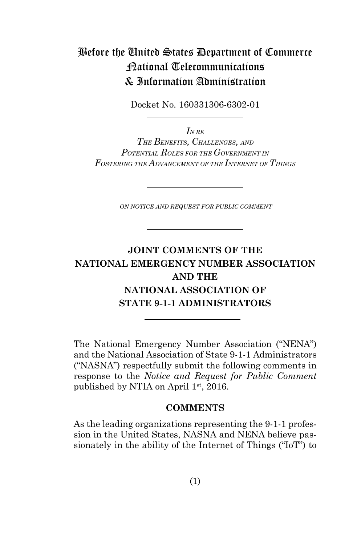# Before the United States Department of Commerce National Telecommunications & Information Administration

Docket No. 160331306-6302-01

*IN RE THE BENEFITS, CHALLENGES, AND POTENTIAL ROLES FOR THE GOVERNMENT IN FOSTERING THE ADVANCEMENT OF THE INTERNET OF THINGS*

*ON NOTICE AND REQUEST FOR PUBLIC COMMENT*

### **JOINT COMMENTS OF THE NATIONAL EMERGENCY NUMBER ASSOCIATION AND THE NATIONAL ASSOCIATION OF STATE 9-1-1 ADMINISTRATORS**

The National Emergency Number Association ("NENA") and the National Association of State 9-1-1 Administrators ("NASNA") respectfully submit the following comments in response to the *Notice and Request for Public Comment*  published by NTIA on April 1st, 2016.

#### **COMMENTS**

As the leading organizations representing the 9-1-1 profession in the United States, NASNA and NENA believe passionately in the ability of the Internet of Things ("IoT") to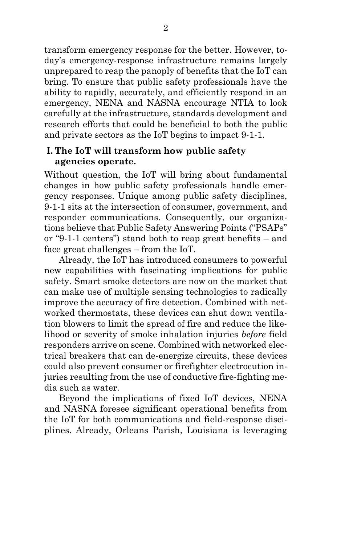transform emergency response for the better. However, today's emergency-response infrastructure remains largely unprepared to reap the panoply of benefits that the IoT can bring. To ensure that public safety professionals have the ability to rapidly, accurately, and efficiently respond in an emergency, NENA and NASNA encourage NTIA to look carefully at the infrastructure, standards development and research efforts that could be beneficial to both the public and private sectors as the IoT begins to impact 9-1-1.

#### **I. The IoT will transform how public safety agencies operate.**

Without question, the IoT will bring about fundamental changes in how public safety professionals handle emergency responses. Unique among public safety disciplines, 9-1-1 sits at the intersection of consumer, government, and responder communications. Consequently, our organizations believe that Public Safety Answering Points ("PSAPs" or "9-1-1 centers") stand both to reap great benefits – and face great challenges – from the IoT.

Already, the IoT has introduced consumers to powerful new capabilities with fascinating implications for public safety. Smart smoke detectors are now on the market that can make use of multiple sensing technologies to radically improve the accuracy of fire detection. Combined with networked thermostats, these devices can shut down ventilation blowers to limit the spread of fire and reduce the likelihood or severity of smoke inhalation injuries *before* field responders arrive on scene. Combined with networked electrical breakers that can de-energize circuits, these devices could also prevent consumer or firefighter electrocution injuries resulting from the use of conductive fire-fighting media such as water.

Beyond the implications of fixed IoT devices, NENA and NASNA foresee significant operational benefits from the IoT for both communications and field-response disciplines. Already, Orleans Parish, Louisiana is leveraging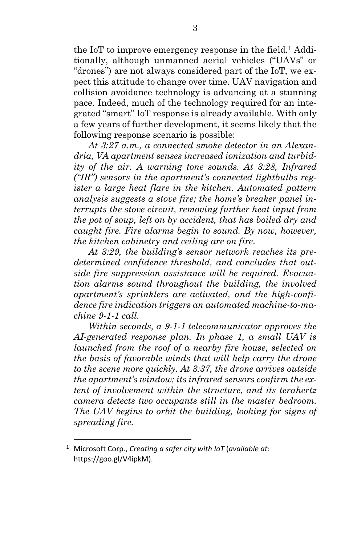the IoT to improve emergency response in the field.<sup>1</sup> Additionally, although unmanned aerial vehicles ("UAVs" or "drones") are not always considered part of the IoT, we expect this attitude to change over time. UAV navigation and collision avoidance technology is advancing at a stunning pace. Indeed, much of the technology required for an integrated "smart" IoT response is already available. With only a few years of further development, it seems likely that the following response scenario is possible:

*At 3:27 a.m., a connected smoke detector in an Alexandria, VA apartment senses increased ionization and turbidity of the air. A warning tone sounds. At 3:28, Infrared ("IR") sensors in the apartment's connected lightbulbs register a large heat flare in the kitchen. Automated pattern analysis suggests a stove fire; the home's breaker panel interrupts the stove circuit, removing further heat input from the pot of soup, left on by accident, that has boiled dry and caught fire. Fire alarms begin to sound. By now, however, the kitchen cabinetry and ceiling are on fire.*

*At 3:29, the building's sensor network reaches its predetermined confidence threshold, and concludes that outside fire suppression assistance will be required. Evacuation alarms sound throughout the building, the involved apartment's sprinklers are activated, and the high-confidence fire indication triggers an automated machine-to-machine 9-1-1 call.* 

*Within seconds, a 9-1-1 telecommunicator approves the AI-generated response plan. In phase 1, a small UAV is launched from the roof of a nearby fire house, selected on the basis of favorable winds that will help carry the drone to the scene more quickly. At 3:37, the drone arrives outside the apartment's window; its infrared sensors confirm the extent of involvement within the structure, and its terahertz camera detects two occupants still in the master bedroom. The UAV begins to orbit the building, looking for signs of spreading fire.*

l

<sup>1</sup> Microsoft Corp., *Creating a safer city with IoT* (*available at*: https://goo.gl/V4ipkM).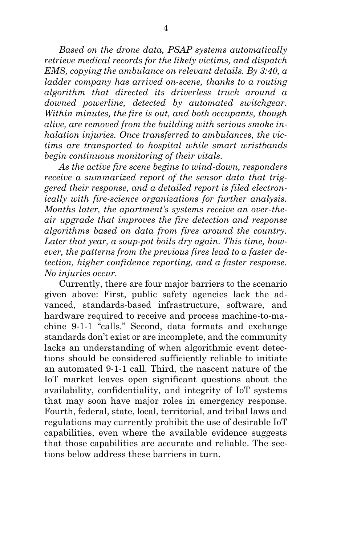*Based on the drone data, PSAP systems automatically retrieve medical records for the likely victims, and dispatch EMS, copying the ambulance on relevant details. By 3:40, a ladder company has arrived on-scene, thanks to a routing algorithm that directed its driverless truck around a downed powerline, detected by automated switchgear. Within minutes, the fire is out, and both occupants, though alive, are removed from the building with serious smoke inhalation injuries. Once transferred to ambulances, the victims are transported to hospital while smart wristbands begin continuous monitoring of their vitals.*

*As the active fire scene begins to wind-down, responders receive a summarized report of the sensor data that triggered their response, and a detailed report is filed electronically with fire-science organizations for further analysis. Months later, the apartment's systems receive an over-theair upgrade that improves the fire detection and response algorithms based on data from fires around the country. Later that year, a soup-pot boils dry again. This time, however, the patterns from the previous fires lead to a faster detection, higher confidence reporting, and a faster response. No injuries occur.*

Currently, there are four major barriers to the scenario given above: First, public safety agencies lack the advanced, standards-based infrastructure, software, and hardware required to receive and process machine-to-machine 9-1-1 "calls." Second, data formats and exchange standards don't exist or are incomplete, and the community lacks an understanding of when algorithmic event detections should be considered sufficiently reliable to initiate an automated 9-1-1 call. Third, the nascent nature of the IoT market leaves open significant questions about the availability, confidentiality, and integrity of IoT systems that may soon have major roles in emergency response. Fourth, federal, state, local, territorial, and tribal laws and regulations may currently prohibit the use of desirable IoT capabilities, even where the available evidence suggests that those capabilities are accurate and reliable. The sections below address these barriers in turn.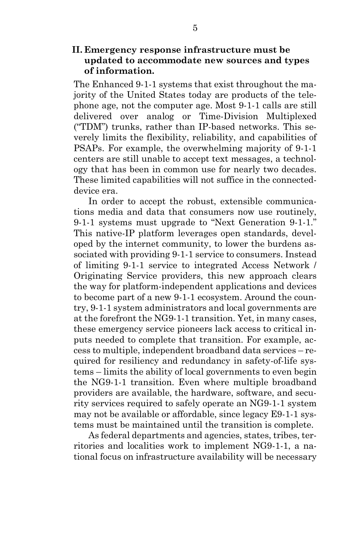### **II. Emergency response infrastructure must be updated to accommodate new sources and types of information.**

The Enhanced 9-1-1 systems that exist throughout the majority of the United States today are products of the telephone age, not the computer age. Most 9-1-1 calls are still delivered over analog or Time-Division Multiplexed ("TDM") trunks, rather than IP-based networks. This severely limits the flexibility, reliability, and capabilities of PSAPs. For example, the overwhelming majority of 9-1-1 centers are still unable to accept text messages, a technology that has been in common use for nearly two decades. These limited capabilities will not suffice in the connecteddevice era.

In order to accept the robust, extensible communications media and data that consumers now use routinely, 9-1-1 systems must upgrade to "Next Generation 9-1-1." This native-IP platform leverages open standards, developed by the internet community, to lower the burdens associated with providing 9-1-1 service to consumers. Instead of limiting 9-1-1 service to integrated Access Network / Originating Service providers, this new approach clears the way for platform-independent applications and devices to become part of a new 9-1-1 ecosystem. Around the country, 9-1-1 system administrators and local governments are at the forefront the NG9-1-1 transition. Yet, in many cases, these emergency service pioneers lack access to critical inputs needed to complete that transition. For example, access to multiple, independent broadband data services – required for resiliency and redundancy in safety-of-life systems – limits the ability of local governments to even begin the NG9-1-1 transition. Even where multiple broadband providers are available, the hardware, software, and security services required to safely operate an NG9-1-1 system may not be available or affordable, since legacy E9-1-1 systems must be maintained until the transition is complete.

As federal departments and agencies, states, tribes, territories and localities work to implement NG9-1-1, a national focus on infrastructure availability will be necessary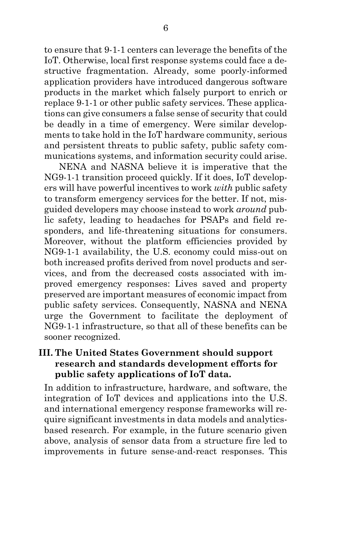to ensure that 9-1-1 centers can leverage the benefits of the IoT. Otherwise, local first response systems could face a destructive fragmentation. Already, some poorly-informed application providers have introduced dangerous software products in the market which falsely purport to enrich or replace 9-1-1 or other public safety services. These applications can give consumers a false sense of security that could be deadly in a time of emergency. Were similar developments to take hold in the IoT hardware community, serious and persistent threats to public safety, public safety communications systems, and information security could arise.

NENA and NASNA believe it is imperative that the NG9-1-1 transition proceed quickly. If it does, IoT developers will have powerful incentives to work *with* public safety to transform emergency services for the better. If not, misguided developers may choose instead to work *around* public safety, leading to headaches for PSAPs and field responders, and life-threatening situations for consumers. Moreover, without the platform efficiencies provided by NG9-1-1 availability, the U.S. economy could miss-out on both increased profits derived from novel products and services, and from the decreased costs associated with improved emergency responses: Lives saved and property preserved are important measures of economic impact from public safety services. Consequently, NASNA and NENA urge the Government to facilitate the deployment of NG9-1-1 infrastructure, so that all of these benefits can be sooner recognized.

### **III. The United States Government should support research and standards development efforts for public safety applications of IoT data.**

In addition to infrastructure, hardware, and software, the integration of IoT devices and applications into the U.S. and international emergency response frameworks will require significant investments in data models and analyticsbased research. For example, in the future scenario given above, analysis of sensor data from a structure fire led to improvements in future sense-and-react responses. This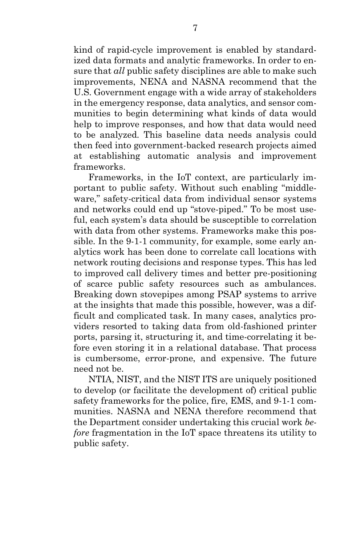kind of rapid-cycle improvement is enabled by standardized data formats and analytic frameworks. In order to ensure that *all* public safety disciplines are able to make such improvements, NENA and NASNA recommend that the U.S. Government engage with a wide array of stakeholders in the emergency response, data analytics, and sensor communities to begin determining what kinds of data would help to improve responses, and how that data would need to be analyzed. This baseline data needs analysis could then feed into government-backed research projects aimed at establishing automatic analysis and improvement frameworks.

Frameworks, in the IoT context, are particularly important to public safety. Without such enabling "middleware," safety-critical data from individual sensor systems and networks could end up "stove-piped." To be most useful, each system's data should be susceptible to correlation with data from other systems. Frameworks make this possible. In the 9-1-1 community, for example, some early analytics work has been done to correlate call locations with network routing decisions and response types. This has led to improved call delivery times and better pre-positioning of scarce public safety resources such as ambulances. Breaking down stovepipes among PSAP systems to arrive at the insights that made this possible, however, was a difficult and complicated task. In many cases, analytics providers resorted to taking data from old-fashioned printer ports, parsing it, structuring it, and time-correlating it before even storing it in a relational database. That process is cumbersome, error-prone, and expensive. The future need not be.

NTIA, NIST, and the NIST ITS are uniquely positioned to develop (or facilitate the development of) critical public safety frameworks for the police, fire, EMS, and 9-1-1 communities. NASNA and NENA therefore recommend that the Department consider undertaking this crucial work *before* fragmentation in the IoT space threatens its utility to public safety.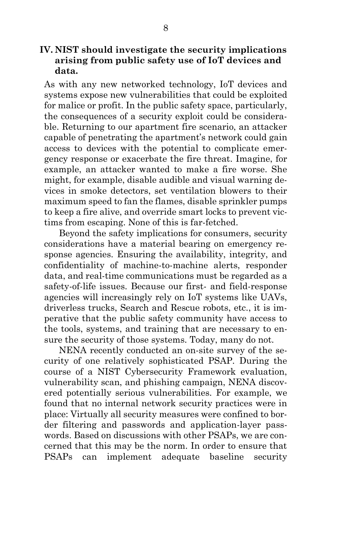**IV. NIST should investigate the security implications arising from public safety use of IoT devices and data.**

As with any new networked technology, IoT devices and systems expose new vulnerabilities that could be exploited for malice or profit. In the public safety space, particularly, the consequences of a security exploit could be considerable. Returning to our apartment fire scenario, an attacker capable of penetrating the apartment's network could gain access to devices with the potential to complicate emergency response or exacerbate the fire threat. Imagine, for example, an attacker wanted to make a fire worse. She might, for example, disable audible and visual warning devices in smoke detectors, set ventilation blowers to their maximum speed to fan the flames, disable sprinkler pumps to keep a fire alive, and override smart locks to prevent victims from escaping. None of this is far-fetched.

Beyond the safety implications for consumers, security considerations have a material bearing on emergency response agencies. Ensuring the availability, integrity, and confidentiality of machine-to-machine alerts, responder data, and real-time communications must be regarded as a safety-of-life issues. Because our first- and field-response agencies will increasingly rely on IoT systems like UAVs, driverless trucks, Search and Rescue robots, etc., it is imperative that the public safety community have access to the tools, systems, and training that are necessary to ensure the security of those systems. Today, many do not.

NENA recently conducted an on-site survey of the security of one relatively sophisticated PSAP. During the course of a NIST Cybersecurity Framework evaluation, vulnerability scan, and phishing campaign, NENA discovered potentially serious vulnerabilities. For example, we found that no internal network security practices were in place: Virtually all security measures were confined to border filtering and passwords and application-layer passwords. Based on discussions with other PSAPs, we are concerned that this may be the norm. In order to ensure that PSAPs can implement adequate baseline security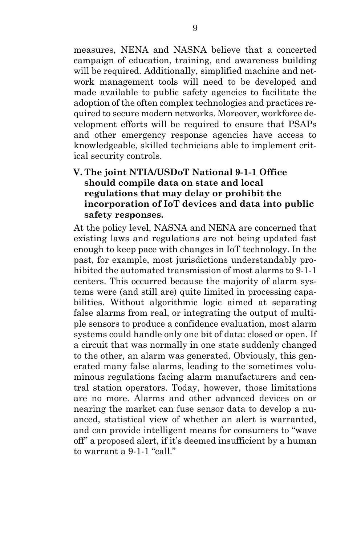measures, NENA and NASNA believe that a concerted campaign of education, training, and awareness building will be required. Additionally, simplified machine and network management tools will need to be developed and made available to public safety agencies to facilitate the adoption of the often complex technologies and practices required to secure modern networks. Moreover, workforce development efforts will be required to ensure that PSAPs and other emergency response agencies have access to knowledgeable, skilled technicians able to implement critical security controls.

### **V. The joint NTIA/USDoT National 9-1-1 Office should compile data on state and local regulations that may delay or prohibit the incorporation of IoT devices and data into public safety responses.**

At the policy level, NASNA and NENA are concerned that existing laws and regulations are not being updated fast enough to keep pace with changes in IoT technology. In the past, for example, most jurisdictions understandably prohibited the automated transmission of most alarms to 9-1-1 centers. This occurred because the majority of alarm systems were (and still are) quite limited in processing capabilities. Without algorithmic logic aimed at separating false alarms from real, or integrating the output of multiple sensors to produce a confidence evaluation, most alarm systems could handle only one bit of data: closed or open. If a circuit that was normally in one state suddenly changed to the other, an alarm was generated. Obviously, this generated many false alarms, leading to the sometimes voluminous regulations facing alarm manufacturers and central station operators. Today, however, those limitations are no more. Alarms and other advanced devices on or nearing the market can fuse sensor data to develop a nuanced, statistical view of whether an alert is warranted, and can provide intelligent means for consumers to "wave off" a proposed alert, if it's deemed insufficient by a human to warrant a 9-1-1 "call."